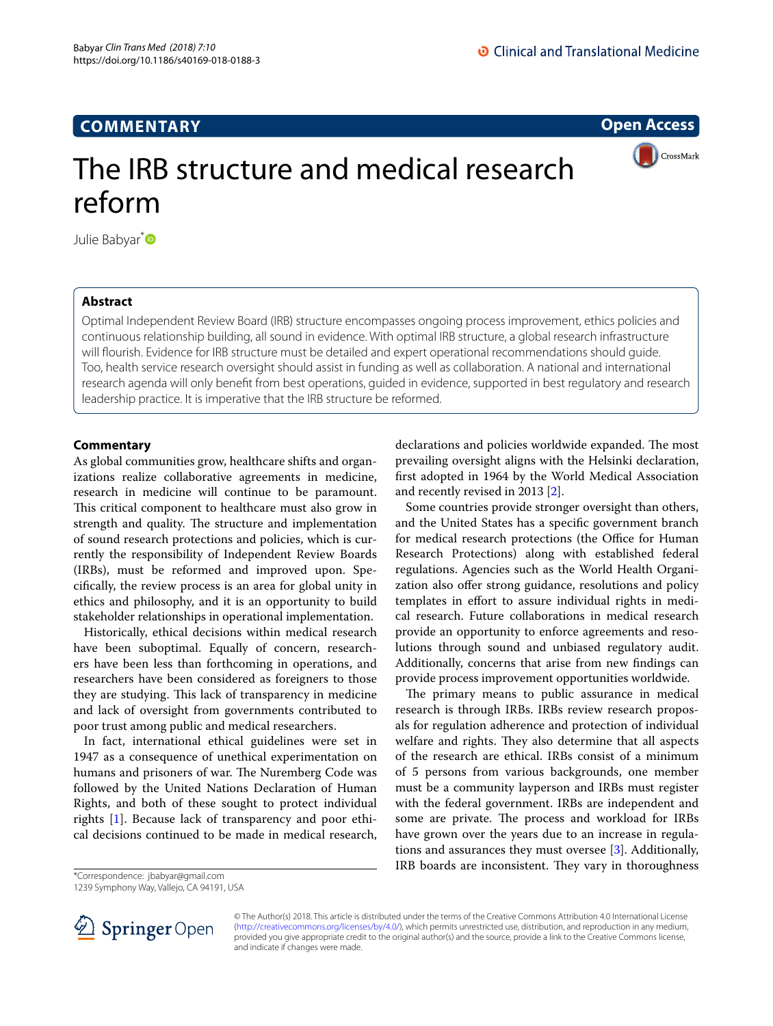**Open Access**

CrossMark

# The IRB structure and medical research reform

Julie Babyar<sup>[\\*](http://orcid.org/0000-0001-7844-9797)</sup>

# **Abstract**

Optimal Independent Review Board (IRB) structure encompasses ongoing process improvement, ethics policies and continuous relationship building, all sound in evidence. With optimal IRB structure, a global research infrastructure will fourish. Evidence for IRB structure must be detailed and expert operational recommendations should guide. Too, health service research oversight should assist in funding as well as collaboration. A national and international research agenda will only beneft from best operations, guided in evidence, supported in best regulatory and research leadership practice. It is imperative that the IRB structure be reformed.

# **Commentary**

As global communities grow, healthcare shifts and organizations realize collaborative agreements in medicine, research in medicine will continue to be paramount. This critical component to healthcare must also grow in strength and quality. The structure and implementation of sound research protections and policies, which is currently the responsibility of Independent Review Boards (IRBs), must be reformed and improved upon. Specifcally, the review process is an area for global unity in ethics and philosophy, and it is an opportunity to build stakeholder relationships in operational implementation.

Historically, ethical decisions within medical research have been suboptimal. Equally of concern, researchers have been less than forthcoming in operations, and researchers have been considered as foreigners to those they are studying. This lack of transparency in medicine and lack of oversight from governments contributed to poor trust among public and medical researchers.

In fact, international ethical guidelines were set in 1947 as a consequence of unethical experimentation on humans and prisoners of war. The Nuremberg Code was followed by the United Nations Declaration of Human Rights, and both of these sought to protect individual rights [\[1](#page-2-0)]. Because lack of transparency and poor ethical decisions continued to be made in medical research, declarations and policies worldwide expanded. The most prevailing oversight aligns with the Helsinki declaration, frst adopted in 1964 by the World Medical Association and recently revised in 2013 [\[2](#page-2-1)].

Some countries provide stronger oversight than others, and the United States has a specifc government branch for medical research protections (the Office for Human Research Protections) along with established federal regulations. Agencies such as the World Health Organization also offer strong guidance, resolutions and policy templates in efort to assure individual rights in medical research. Future collaborations in medical research provide an opportunity to enforce agreements and resolutions through sound and unbiased regulatory audit. Additionally, concerns that arise from new fndings can provide process improvement opportunities worldwide.

The primary means to public assurance in medical research is through IRBs. IRBs review research proposals for regulation adherence and protection of individual welfare and rights. They also determine that all aspects of the research are ethical. IRBs consist of a minimum of 5 persons from various backgrounds, one member must be a community layperson and IRBs must register with the federal government. IRBs are independent and some are private. The process and workload for IRBs have grown over the years due to an increase in regulations and assurances they must oversee [\[3](#page-2-2)]. Additionally, IRB boards are inconsistent. They vary in thoroughness

\*Correspondence: jbabyar@gmail.com

1239 Symphony Way, Vallejo, CA 94191, USA



© The Author(s) 2018. This article is distributed under the terms of the Creative Commons Attribution 4.0 International License [\(http://creativecommons.org/licenses/by/4.0/\)](http://creativecommons.org/licenses/by/4.0/), which permits unrestricted use, distribution, and reproduction in any medium, provided you give appropriate credit to the original author(s) and the source, provide a link to the Creative Commons license, and indicate if changes were made.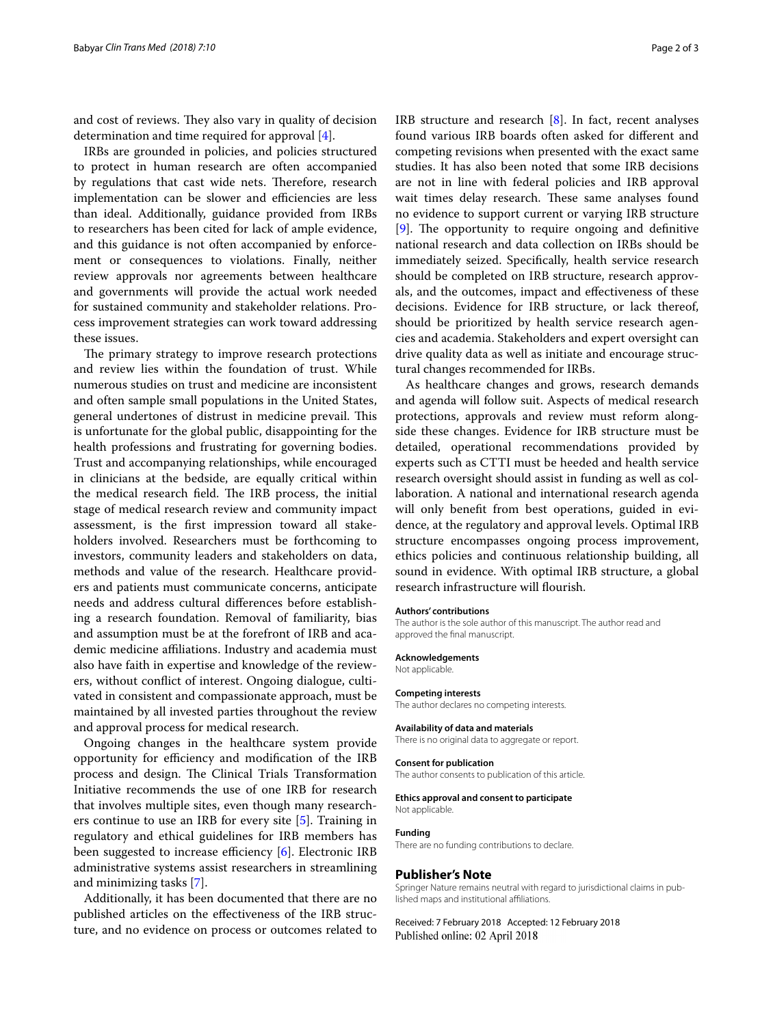and cost of reviews. They also vary in quality of decision determination and time required for approval [\[4](#page-2-3)].

IRBs are grounded in policies, and policies structured to protect in human research are often accompanied by regulations that cast wide nets. Therefore, research implementation can be slower and efficiencies are less than ideal. Additionally, guidance provided from IRBs to researchers has been cited for lack of ample evidence, and this guidance is not often accompanied by enforcement or consequences to violations. Finally, neither review approvals nor agreements between healthcare and governments will provide the actual work needed for sustained community and stakeholder relations. Process improvement strategies can work toward addressing these issues.

The primary strategy to improve research protections and review lies within the foundation of trust. While numerous studies on trust and medicine are inconsistent and often sample small populations in the United States, general undertones of distrust in medicine prevail. This is unfortunate for the global public, disappointing for the health professions and frustrating for governing bodies. Trust and accompanying relationships, while encouraged in clinicians at the bedside, are equally critical within the medical research field. The IRB process, the initial stage of medical research review and community impact assessment, is the frst impression toward all stakeholders involved. Researchers must be forthcoming to investors, community leaders and stakeholders on data, methods and value of the research. Healthcare providers and patients must communicate concerns, anticipate needs and address cultural diferences before establishing a research foundation. Removal of familiarity, bias and assumption must be at the forefront of IRB and academic medicine affiliations. Industry and academia must also have faith in expertise and knowledge of the reviewers, without confict of interest. Ongoing dialogue, cultivated in consistent and compassionate approach, must be maintained by all invested parties throughout the review and approval process for medical research.

Ongoing changes in the healthcare system provide opportunity for efficiency and modification of the IRB process and design. The Clinical Trials Transformation Initiative recommends the use of one IRB for research that involves multiple sites, even though many researchers continue to use an IRB for every site [[5\]](#page-2-4). Training in regulatory and ethical guidelines for IRB members has been suggested to increase efficiency  $[6]$  $[6]$  $[6]$ . Electronic IRB administrative systems assist researchers in streamlining and minimizing tasks [[7\]](#page-2-6).

Additionally, it has been documented that there are no published articles on the efectiveness of the IRB structure, and no evidence on process or outcomes related to IRB structure and research [\[8](#page-2-7)]. In fact, recent analyses found various IRB boards often asked for diferent and competing revisions when presented with the exact same studies. It has also been noted that some IRB decisions are not in line with federal policies and IRB approval wait times delay research. These same analyses found no evidence to support current or varying IRB structure  $[9]$  $[9]$ . The opportunity to require ongoing and definitive national research and data collection on IRBs should be immediately seized. Specifcally, health service research should be completed on IRB structure, research approvals, and the outcomes, impact and efectiveness of these decisions. Evidence for IRB structure, or lack thereof, should be prioritized by health service research agencies and academia. Stakeholders and expert oversight can drive quality data as well as initiate and encourage structural changes recommended for IRBs.

As healthcare changes and grows, research demands and agenda will follow suit. Aspects of medical research protections, approvals and review must reform alongside these changes. Evidence for IRB structure must be detailed, operational recommendations provided by experts such as CTTI must be heeded and health service research oversight should assist in funding as well as collaboration. A national and international research agenda will only beneft from best operations, guided in evidence, at the regulatory and approval levels. Optimal IRB structure encompasses ongoing process improvement, ethics policies and continuous relationship building, all sound in evidence. With optimal IRB structure, a global research infrastructure will flourish.

#### **Authors' contributions**

The author is the sole author of this manuscript. The author read and approved the fnal manuscript.

#### **Acknowledgements**

Not applicable.

#### **Competing interests**

The author declares no competing interests.

## **Availability of data and materials**

There is no original data to aggregate or report.

#### **Consent for publication**

The author consents to publication of this article.

#### **Ethics approval and consent to participate** Not applicable.

# **Funding**

There are no funding contributions to declare.

### **Publisher's Note**

Springer Nature remains neutral with regard to jurisdictional claims in published maps and institutional affiliations.

Received: 7 February 2018 Accepted: 12 February 2018Published online: 02 April 2018